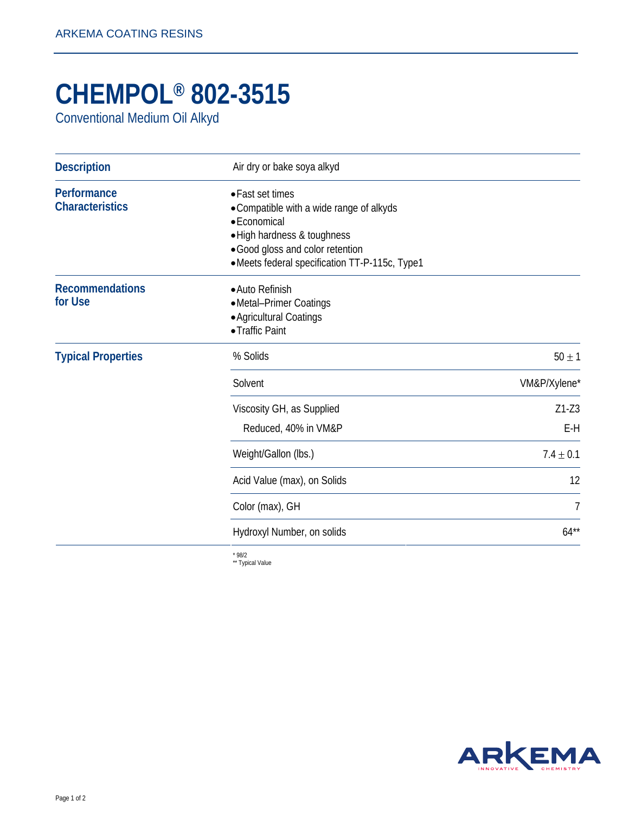## **CHEMPOL® 802-3515**

Conventional Medium Oil Alkyd

| <b>Description</b>                    | Air dry or bake soya alkyd                                                                                                                                                                       |                  |
|---------------------------------------|--------------------------------------------------------------------------------------------------------------------------------------------------------------------------------------------------|------------------|
| Performance<br><b>Characteristics</b> | • Fast set times<br>• Compatible with a wide range of alkyds<br>• Economical<br>· High hardness & toughness<br>• Good gloss and color retention<br>•Meets federal specification TT-P-115c, Type1 |                  |
| <b>Recommendations</b><br>for Use     | • Auto Refinish<br>• Metal-Primer Coatings<br>• Agricultural Coatings<br>• Traffic Paint                                                                                                         |                  |
| <b>Typical Properties</b>             | % Solids                                                                                                                                                                                         | $50 \pm 1$       |
|                                       | Solvent                                                                                                                                                                                          | VM&P/Xylene*     |
|                                       | Viscosity GH, as Supplied<br>Reduced, 40% in VM&P                                                                                                                                                | $Z1-Z3$<br>$E-H$ |
|                                       | Weight/Gallon (lbs.)                                                                                                                                                                             | $7.4 \pm 0.1$    |
|                                       | Acid Value (max), on Solids                                                                                                                                                                      | 12               |
|                                       | Color (max), GH                                                                                                                                                                                  | 7                |
|                                       | Hydroxyl Number, on solids                                                                                                                                                                       | $64***$          |
|                                       |                                                                                                                                                                                                  |                  |

\* 98/2 \*\* Typical Value